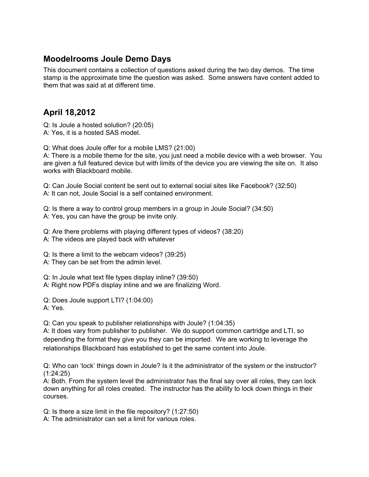## **Moodelrooms Joule Demo Days**

This document contains a collection of questions asked during the two day demos. The time stamp is the approximate time the question was asked. Some answers have content added to them that was said at at different time.

## **April 18,2012**

Q: Is Joule a hosted solution? (20:05) A: Yes, it is a hosted SAS model.

Q: What does Joule offer for a mobile LMS? (21:00)

A: There is a mobile theme for the site, you just need a mobile device with a web browser. You are given a full featured device but with limits of the device you are viewing the site on. It also works with Blackboard mobile.

Q: Can Joule Social content be sent out to external social sites like Facebook? (32:50) A: It can not, Joule Social is a self contained environment.

Q: Is there a way to control group members in a group in Joule Social? (34:50) A: Yes, you can have the group be invite only.

Q: Are there problems with playing different types of videos? (38:20)

A: The videos are played back with whatever

Q: Is there a limit to the webcam videos? (39:25)

A: They can be set from the admin level.

Q: In Joule what text file types display inline? (39:50)

A: Right now PDFs display inline and we are finalizing Word.

Q: Does Joule support LTI? (1:04:00) A: Yes.

Q: Can you speak to publisher relationships with Joule? (1:04:35)

A: It does vary from publisher to publisher. We do support common cartridge and LTI, so depending the format they give you they can be imported. We are working to leverage the relationships Blackboard has established to get the same content into Joule.

Q: Who can 'lock' things down in Joule? Is it the administrator of the system or the instructor? (1:24:25)

A: Both. From the system level the administrator has the final say over all roles, they can lock down anything for all roles created. The instructor has the ability to lock down things in their courses.

Q: Is there a size limit in the file repository? (1:27:50)

A: The administrator can set a limit for various roles.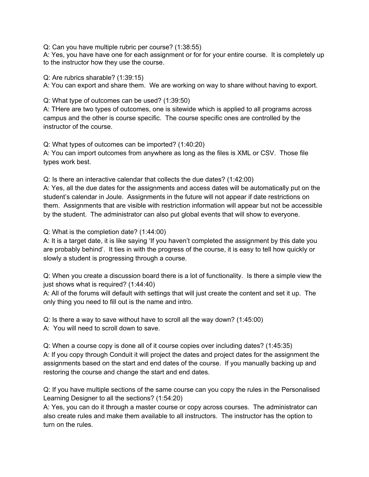Q: Can you have multiple rubric per course? (1:38:55)

A: Yes, you have have one for each assignment or for for your entire course. It is completely up to the instructor how they use the course.

Q: Are rubrics sharable? (1:39:15)

A: You can export and share them. We are working on way to share without having to export.

Q: What type of outcomes can be used? (1:39:50)

A: THere are two types of outcomes, one is sitewide which is applied to all programs across campus and the other is course specific. The course specific ones are controlled by the instructor of the course.

Q: What types of outcomes can be imported? (1:40:20) A: You can import outcomes from anywhere as long as the files is XML or CSV. Those file types work best.

Q: Is there an interactive calendar that collects the due dates? (1:42:00)

A: Yes, all the due dates for the assignments and access dates will be automatically put on the student's calendar in Joule. Assignments in the future will not appear if date restrictions on them. Assignments that are visible with restriction information will appear but not be accessible by the student. The administrator can also put global events that will show to everyone.

Q: What is the completion date? (1:44:00)

A: It is a target date, it is like saying 'If you haven't completed the assignment by this date you are probably behind'. It ties in with the progress of the course, it is easy to tell how quickly or slowly a student is progressing through a course.

Q: When you create a discussion board there is a lot of functionality. Is there a simple view the just shows what is required? (1:44:40)

A: All of the forums will default with settings that will just create the content and set it up. The only thing you need to fill out is the name and intro.

Q: Is there a way to save without have to scroll all the way down? (1:45:00) A: You will need to scroll down to save.

Q: When a course copy is done all of it course copies over including dates? (1:45:35) A: If you copy through Conduit it will project the dates and project dates for the assignment the assignments based on the start and end dates of the course. If you manually backing up and restoring the course and change the start and end dates.

Q: If you have multiple sections of the same course can you copy the rules in the Personalised Learning Designer to all the sections? (1:54:20)

A: Yes, you can do it through a master course or copy across courses. The administrator can also create rules and make them available to all instructors. The instructor has the option to turn on the rules.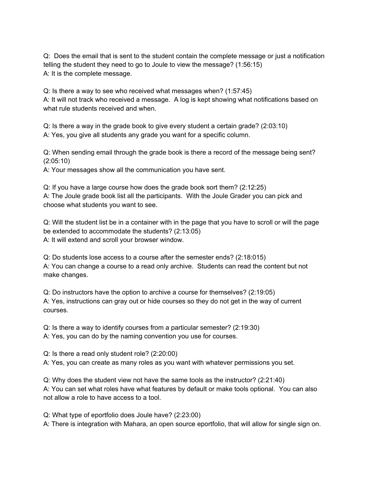Q: Does the email that is sent to the student contain the complete message or just a notification telling the student they need to go to Joule to view the message? (1:56:15) A: It is the complete message.

Q: Is there a way to see who received what messages when? (1:57:45) A: It will not track who received a message. A log is kept showing what notifications based on what rule students received and when.

Q: Is there a way in the grade book to give every student a certain grade? (2:03:10) A: Yes, you give all students any grade you want for a specific column.

Q: When sending email through the grade book is there a record of the message being sent? (2:05:10)

A: Your messages show all the communication you have sent.

Q: If you have a large course how does the grade book sort them? (2:12:25) A: The Joule grade book list all the participants. With the Joule Grader you can pick and choose what students you want to see.

Q: Will the student list be in a container with in the page that you have to scroll or will the page be extended to accommodate the students? (2:13:05) A: It will extend and scroll your browser window.

Q: Do students lose access to a course after the semester ends? (2:18:015) A: You can change a course to a read only archive. Students can read the content but not make changes.

Q: Do instructors have the option to archive a course for themselves? (2:19:05) A: Yes, instructions can gray out or hide courses so they do not get in the way of current courses.

Q: Is there a way to identify courses from a particular semester? (2:19:30) A: Yes, you can do by the naming convention you use for courses.

Q: Is there a read only student role? (2:20:00)

A: Yes, you can create as many roles as you want with whatever permissions you set.

Q: Why does the student view not have the same tools as the instructor? (2:21:40) A: You can set what roles have what features by default or make tools optional. You can also not allow a role to have access to a tool.

Q: What type of eportfolio does Joule have? (2:23:00) A: There is integration with Mahara, an open source eportfolio, that will allow for single sign on.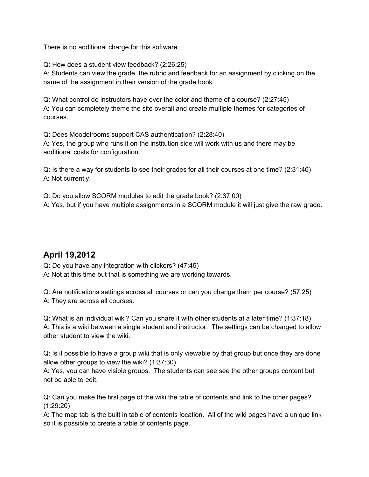There is no additional charge for this software.

Q: How does a student view feedback? (2:26:25)

A: Students can view the grade, the rubric and feedback for an assignment by clicking on the name of the assignment in their version of the grade book.

Q: What control do instructors have over the color and theme of a course? (2:27:45) A: You can completely theme the site overall and create multiple themes for categories of courses.

Q: Does Moodelrooms support CAS authentication? (2:28:40) A: Yes, the group who runs it on the institution side will work with us and there may be additional costs for configuration.

Q: Is there a way for students to see their grades for all their courses at one time? (2:31:46) A: Not currently.

Q: Do you allow SCORM modules to edit the grade book? (2:37:00) A: Yes, but if you have multiple assignments in a SCORM module it will just give the raw grade.

## **April 19,2012**

Q: Do you have any integration with clickers? (47:45)

A: Not at this time but that is something we are working towards.

Q: Are notifications settings across all courses or can you change them per course? (57:25) A: They are across all courses.

Q: What is an individual wiki? Can you share it with other students at a later time? (1:37:18) A: This is a wiki between a single student and instructor. The settings can be changed to allow other student to view the wiki.

Q: Is it possible to have a group wiki that is only viewable by that group but once they are done allow other groups to view the wiki? (1:37:30)

A: Yes, you can have visible groups. The students can see see the other groups content but not be able to edit.

Q: Can you make the first page of the wiki the table of contents and link to the other pages? (1:29:20)

A: The map tab is the built in table of contents location. All of the wiki pages have a unique link so it is possible to create a table of contents page.